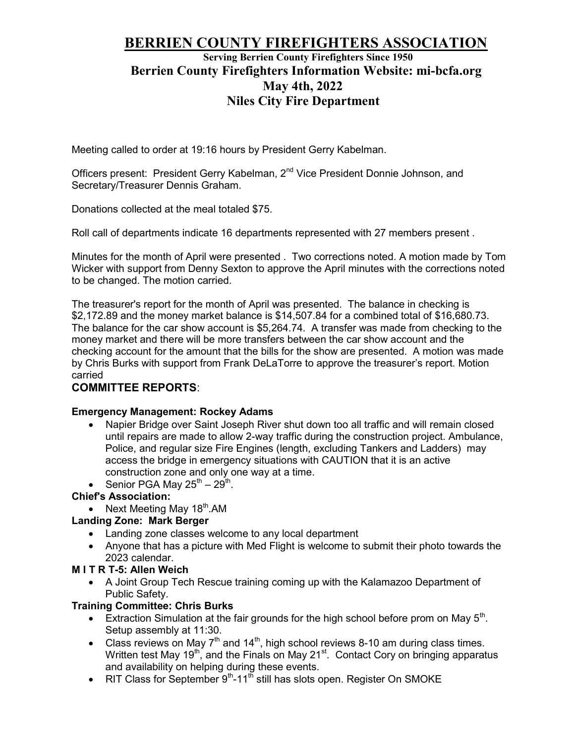# BERRIEN COUNTY FIREFIGHTERS ASSOCIATION

## Serving Berrien County Firefighters Since 1950 Berrien County Firefighters Information Website: mi-bcfa.org May 4th, 2022 Niles City Fire Department

Meeting called to order at 19:16 hours by President Gerry Kabelman.

Officers present: President Gerry Kabelman, 2nd Vice President Donnie Johnson, and Secretary/Treasurer Dennis Graham.

Donations collected at the meal totaled \$75.

Roll call of departments indicate 16 departments represented with 27 members present .

Minutes for the month of April were presented . Two corrections noted. A motion made by Tom Wicker with support from Denny Sexton to approve the April minutes with the corrections noted to be changed. The motion carried.

The treasurer's report for the month of April was presented. The balance in checking is \$2,172.89 and the money market balance is \$14,507.84 for a combined total of \$16,680.73. The balance for the car show account is \$5,264.74. A transfer was made from checking to the money market and there will be more transfers between the car show account and the checking account for the amount that the bills for the show are presented. A motion was made by Chris Burks with support from Frank DeLaTorre to approve the treasurer's report. Motion carried

## COMMITTEE REPORTS:

#### Emergency Management: Rockey Adams

- Napier Bridge over Saint Joseph River shut down too all traffic and will remain closed until repairs are made to allow 2-way traffic during the construction project. Ambulance, Police, and regular size Fire Engines (length, excluding Tankers and Ladders) may access the bridge in emergency situations with CAUTION that it is an active construction zone and only one way at a time.
- Senior PGA May  $25^{\text{th}} 29^{\text{th}}$ .

#### Chief's Association:

• Next Meeting May  $18<sup>th</sup>$ .AM

## Landing Zone: Mark Berger

- Landing zone classes welcome to any local department
- Anyone that has a picture with Med Flight is welcome to submit their photo towards the 2023 calendar.

## M I T R T-5: Allen Weich

 A Joint Group Tech Rescue training coming up with the Kalamazoo Department of Public Safety.

## Training Committee: Chris Burks

- Extraction Simulation at the fair grounds for the high school before prom on May  $5<sup>th</sup>$ . Setup assembly at 11:30.
- Class reviews on May  $7<sup>th</sup>$  and  $14<sup>th</sup>$ , high school reviews 8-10 am during class times. Written test May 19<sup>th</sup>, and the Finals on May 21<sup>st</sup>. Contact Cory on bringing apparatus and availability on helping during these events.
- RIT Class for September  $9<sup>th</sup>$ -11<sup>th</sup> still has slots open. Register On SMOKE